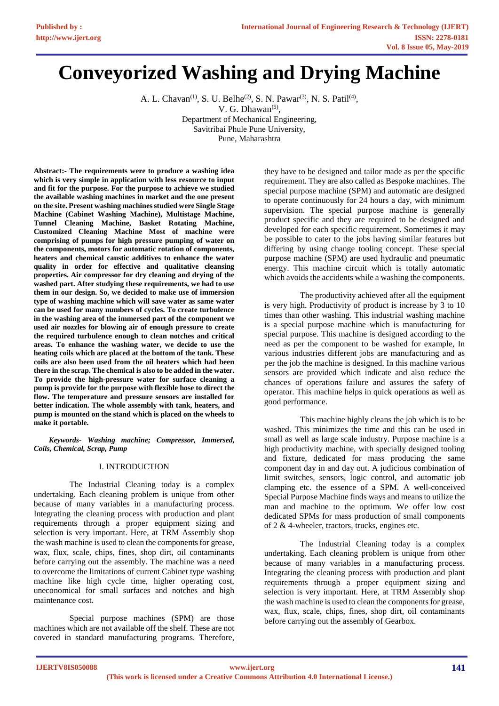# **Conveyorized Washing and Drying Machine**

A. L. Chavan<sup>(1)</sup>, S. U. Belhe<sup>(2)</sup>, S. N. Pawar<sup>(3)</sup>, N. S. Patil<sup>(4)</sup>, V. G. Dhawan<sup>(5)</sup>, Department of Mechanical Engineering, Savitribai Phule Pune University, Pune, Maharashtra

**Abstract:- The requirements were to produce a washing idea which is very simple in application with less resource to input and fit for the purpose. For the purpose to achieve we studied the available washing machines in market and the one present on the site. Present washing machines studied were Single Stage Machine (Cabinet Washing Machine), Multistage Machine, Tunnel Cleaning Machine, Basket Rotating Machine, Customized Cleaning Machine Most of machine were comprising of pumps for high pressure pumping of water on the components, motors for automatic rotation of components, heaters and chemical caustic additives to enhance the water quality in order for effective and qualitative cleansing properties. Air compressor for dry cleaning and drying of the washed part. After studying these requirements, we had to use them in our design. So, we decided to make use of immersion type of washing machine which will save water as same water can be used for many numbers of cycles. To create turbulence in the washing area of the immersed part of the component we used air nozzles for blowing air of enough pressure to create the required turbulence enough to clean notches and critical areas. To enhance the washing water, we decide to use the heating coils which are placed at the bottom of the tank. These coils are also been used from the oil heaters which had been there in the scrap. The chemical is also to be added in the water. To provide the high-pressure water for surface cleaning a pump is provide for the purpose with flexible hose to direct the flow. The temperature and pressure sensors are installed for better indication. The whole assembly with tank, heaters, and pump is mounted on the stand which is placed on the wheels to make it portable.**

*Keywords- Washing machine; Compressor, Immersed, Coils, Chemical, Scrap, Pump*

## I. INTRODUCTION

The Industrial Cleaning today is a complex undertaking. Each cleaning problem is unique from other because of many variables in a manufacturing process. Integrating the cleaning process with production and plant requirements through a proper equipment sizing and selection is very important. Here, at TRM Assembly shop the wash machine is used to clean the components for grease, wax, flux, scale, chips, fines, shop dirt, oil contaminants before carrying out the assembly. The machine was a need to overcome the limitations of current Cabinet type washing machine like high cycle time, higher operating cost, uneconomical for small surfaces and notches and high maintenance cost.

Special purpose machines (SPM) are those machines which are not available off the shelf. These are not covered in standard manufacturing programs. Therefore,

they have to be designed and tailor made as per the specific requirement. They are also called as Bespoke machines. The special purpose machine (SPM) and automatic are designed to operate continuously for 24 hours a day, with minimum supervision. The special purpose machine is generally product specific and they are required to be designed and developed for each specific requirement. Sometimes it may be possible to cater to the jobs having similar features but differing by using change tooling concept. These special purpose machine (SPM) are used hydraulic and pneumatic energy. This machine circuit which is totally automatic which avoids the accidents while a washing the components.

The productivity achieved after all the equipment is very high. Productivity of product is increase by 3 to 10 times than other washing. This industrial washing machine is a special purpose machine which is manufacturing for special purpose. This machine is designed according to the need as per the component to be washed for example, In various industries different jobs are manufacturing and as per the job the machine is designed. In this machine various sensors are provided which indicate and also reduce the chances of operations failure and assures the safety of operator. This machine helps in quick operations as well as good performance.

This machine highly cleans the job which is to be washed. This minimizes the time and this can be used in small as well as large scale industry. Purpose machine is a high productivity machine, with specially designed tooling and fixture, dedicated for mass producing the same component day in and day out. A judicious combination of limit switches, sensors, logic control, and automatic job clamping etc. the essence of a SPM. A well-conceived Special Purpose Machine finds ways and means to utilize the man and machine to the optimum. We offer low cost dedicated SPMs for mass production of small components of 2 & 4-wheeler, tractors, trucks, engines etc.

The Industrial Cleaning today is a complex undertaking. Each cleaning problem is unique from other because of many variables in a manufacturing process. Integrating the cleaning process with production and plant requirements through a proper equipment sizing and selection is very important. Here, at TRM Assembly shop the wash machine is used to clean the components for grease, wax, flux, scale, chips, fines, shop dirt, oil contaminants before carrying out the assembly of Gearbox.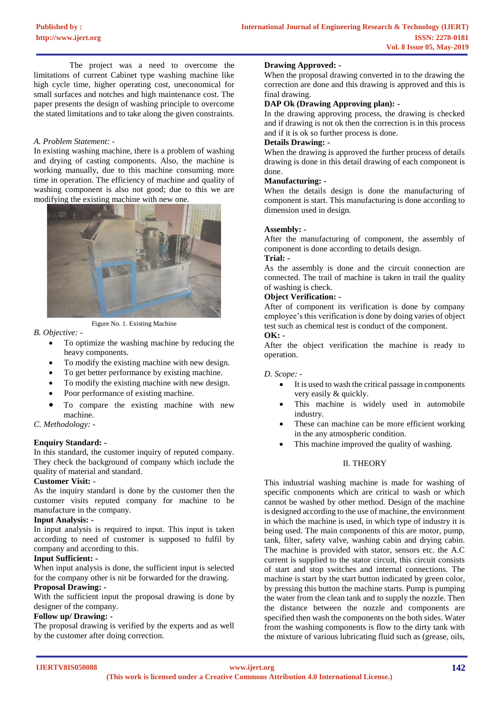The project was a need to overcome the limitations of current Cabinet type washing machine like high cycle time, higher operating cost, uneconomical for small surfaces and notches and high maintenance cost. The paper presents the design of washing principle to overcome the stated limitations and to take along the given constraints.

#### *A. Problem Statement: -*

In existing washing machine, there is a problem of washing and drying of casting components. Also, the machine is working manually, due to this machine consuming more time in operation. The efficiency of machine and quality of washing component is also not good; due to this we are modifying the existing machine with new one.



Figure No. 1. Existing Machine

*B. Objective: -*

- To optimize the washing machine by reducing the heavy components.
- To modify the existing machine with new design.
- To get better performance by existing machine.
- To modify the existing machine with new design.
- Poor performance of existing machine.
- To compare the existing machine with new machine.

#### *C. Methodology: -*

#### **Enquiry Standard: -**

In this standard, the customer inquiry of reputed company. They check the background of company which include the quality of material and standard.

## **Customer Visit: -**

As the inquiry standard is done by the customer then the customer visits reputed company for machine to be manufacture in the company.

#### **Input Analysis: -**

In input analysis is required to input. This input is taken according to need of customer is supposed to fulfil by company and according to this.

## **Input Sufficient: -**

When input analysis is done, the sufficient input is selected for the company other is nit be forwarded for the drawing.

## **Proposal Drawing: -**

With the sufficient input the proposal drawing is done by designer of the company.

## **Follow up/ Drawing: -**

The proposal drawing is verified by the experts and as well by the customer after doing correction.

#### **Drawing Approved: -**

When the proposal drawing converted in to the drawing the correction are done and this drawing is approved and this is final drawing.

#### **DAP Ok (Drawing Approving plan): -**

In the drawing approving process, the drawing is checked and if drawing is not ok then the correction is in this process and if it is ok so further process is done.

## **Details Drawing: -**

When the drawing is approved the further process of details drawing is done in this detail drawing of each component is done.

#### **Manufacturing: -**

When the details design is done the manufacturing of component is start. This manufacturing is done according to dimension used in design.

#### **Assembly: -**

After the manufacturing of component, the assembly of component is done according to details design.

# **Trial: -**

As the assembly is done and the circuit connection are connected. The trail of machine is taken in trail the quality of washing is check.

## **Object Verification: -**

After of component its verification is done by company employee's this verification is done by doing varies of object test such as chemical test is conduct of the component. **OK: -**

After the object verification the machine is ready to operation.

#### *D. Scope: -*

- It is used to wash the critical passage in components very easily & quickly.
- This machine is widely used in automobile industry.
- These can machine can be more efficient working in the any atmospheric condition.
- This machine improved the quality of washing.

## II. THEORY

This industrial washing machine is made for washing of specific components which are critical to wash or which cannot be washed by other method. Design of the machine is designed according to the use of machine, the environment in which the machine is used, in which type of industry it is being used. The main components of this are motor, pump, tank, filter, safety valve, washing cabin and drying cabin. The machine is provided with stator, sensors etc. the A.C current is supplied to the stator circuit, this circuit consists of start and stop switches and internal connections. The machine is start by the start button indicated by green color, by pressing this button the machine starts. Pump is pumping the water from the clean tank and to supply the nozzle. Then the distance between the nozzle and components are specified then wash the components on the both sides. Water from the washing components is flow to the dirty tank with the mixture of various lubricating fluid such as (grease, oils,

**IJERTV8IS050088**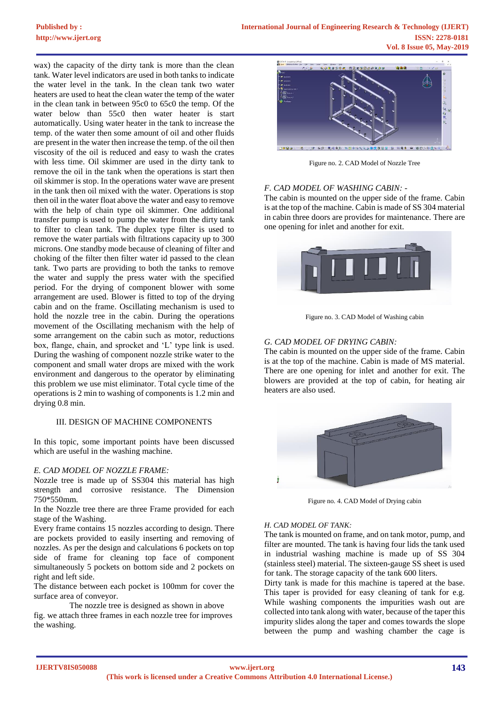wax) the capacity of the dirty tank is more than the clean tank. Water level indicators are used in both tanks to indicate the water level in the tank. In the clean tank two water heaters are used to heat the clean water the temp of the water in the clean tank in between 95c0 to 65c0 the temp. Of the water below than 55c0 then water heater is start automatically. Using water heater in the tank to increase the temp. of the water then some amount of oil and other fluids are present in the water then increase the temp. of the oil then viscosity of the oil is reduced and easy to wash the crates with less time. Oil skimmer are used in the dirty tank to remove the oil in the tank when the operations is start then oil skimmer is stop. In the operations water wave are present in the tank then oil mixed with the water. Operations is stop then oil in the water float above the water and easy to remove with the help of chain type oil skimmer. One additional transfer pump is used to pump the water from the dirty tank to filter to clean tank. The duplex type filter is used to remove the water partials with filtrations capacity up to 300 microns. One standby mode because of cleaning of filter and choking of the filter then filter water id passed to the clean tank. Two parts are providing to both the tanks to remove the water and supply the press water with the specified period. For the drying of component blower with some arrangement are used. Blower is fitted to top of the drying cabin and on the frame. Oscillating mechanism is used to hold the nozzle tree in the cabin. During the operations movement of the Oscillating mechanism with the help of some arrangement on the cabin such as motor, reductions box, flange, chain, and sprocket and 'L' type link is used. During the washing of component nozzle strike water to the component and small water drops are mixed with the work environment and dangerous to the operator by eliminating this problem we use mist eliminator. Total cycle time of the operations is 2 min to washing of components is 1.2 min and drying 0.8 min.

#### III. DESIGN OF MACHINE COMPONENTS

In this topic, some important points have been discussed which are useful in the washing machine.

#### *E. CAD MODEL OF NOZZLE FRAME:*

Nozzle tree is made up of SS304 this material has high strength and corrosive resistance. The Dimension 750\*550mm.

In the Nozzle tree there are three Frame provided for each stage of the Washing.

Every frame contains 15 nozzles according to design. There are pockets provided to easily inserting and removing of nozzles. As per the design and calculations 6 pockets on top side of frame for cleaning top face of component simultaneously 5 pockets on bottom side and 2 pockets on right and left side.

The distance between each pocket is 100mm for cover the surface area of conveyor.

The nozzle tree is designed as shown in above fig. we attach three frames in each nozzle tree for improves the washing.



Figure no. 2. CAD Model of Nozzle Tree

## *F. CAD MODEL OF WASHING CABIN: -*

The cabin is mounted on the upper side of the frame. Cabin is at the top of the machine. Cabin is made of SS 304 material in cabin three doors are provides for maintenance. There are one opening for inlet and another for exit.



Figure no. 3. CAD Model of Washing cabin

#### *G. CAD MODEL OF DRYING CABIN:*

The cabin is mounted on the upper side of the frame. Cabin is at the top of the machine. Cabin is made of MS material. There are one opening for inlet and another for exit. The blowers are provided at the top of cabin, for heating air heaters are also used.



Figure no. 4. CAD Model of Drying cabin

#### *H. CAD MODEL OF TANK:*

The tank is mounted on frame, and on tank motor, pump, and filter are mounted. The tank is having four lids the tank used in industrial washing machine is made up of SS 304 (stainless steel) material. The sixteen-gauge SS sheet is used for tank. The storage capacity of the tank 600 liters.

Dirty tank is made for this machine is tapered at the base. This taper is provided for easy cleaning of tank for e.g. While washing components the impurities wash out are collected into tank along with water, because of the taper this impurity slides along the taper and comes towards the slope between the pump and washing chamber the cage is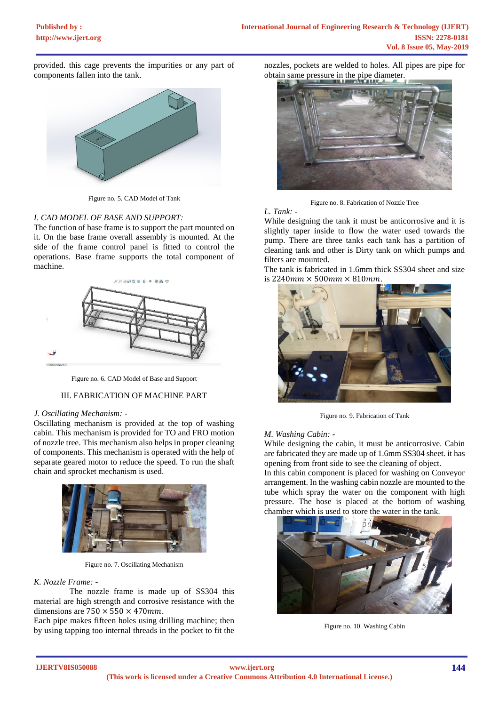provided. this cage prevents the impurities or any part of components fallen into the tank.



Figure no. 5. CAD Model of Tank

## *I. CAD MODEL OF BASE AND SUPPORT:*

The function of base frame is to support the part mounted on it. On the base frame overall assembly is mounted. At the side of the frame control panel is fitted to control the operations. Base frame supports the total component of machine.



Figure no. 6. CAD Model of Base and Support

## III. FABRICATION OF MACHINE PART

## *J. Oscillating Mechanism: -*

Oscillating mechanism is provided at the top of washing cabin. This mechanism is provided for TO and FRO motion of nozzle tree. This mechanism also helps in proper cleaning of components. This mechanism is operated with the help of separate geared motor to reduce the speed. To run the shaft chain and sprocket mechanism is used.



Figure no. 7. Oscillating Mechanism

#### *K. Nozzle Frame: -*

The nozzle frame is made up of SS304 this material are high strength and corrosive resistance with the dimensions are  $750 \times 550 \times 470$  mm.

Each pipe makes fifteen holes using drilling machine; then by using tapping too internal threads in the pocket to fit the

nozzles, pockets are welded to holes. All pipes are pipe for obtain same pressure in the pipe diameter.



Figure no. 8. Fabrication of Nozzle Tree

## *L. Tank: -*

While designing the tank it must be anticorrosive and it is slightly taper inside to flow the water used towards the pump. There are three tanks each tank has a partition of cleaning tank and other is Dirty tank on which pumps and filters are mounted.

The tank is fabricated in 1.6mm thick SS304 sheet and size is  $2240$ mm  $\times$  500mm  $\times$  810mm.



Figure no. 9. Fabrication of Tank

## *M. Washing Cabin: -*

While designing the cabin, it must be anticorrosive. Cabin are fabricated they are made up of 1.6mm SS304 sheet. it has opening from front side to see the cleaning of object.

In this cabin component is placed for washing on Conveyor arrangement. In the washing cabin nozzle are mounted to the tube which spray the water on the component with high pressure. The hose is placed at the bottom of washing chamber which is used to store the water in the tank.



Figure no. 10. Washing Cabin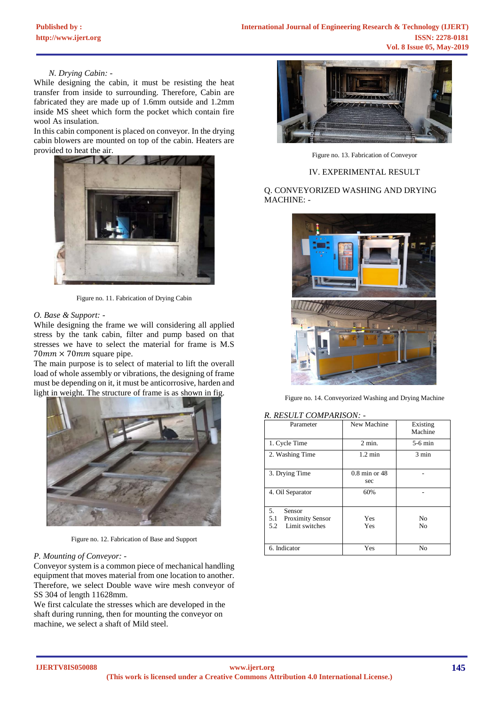#### *N. Drying Cabin: -*

While designing the cabin, it must be resisting the heat transfer from inside to surrounding. Therefore, Cabin are fabricated they are made up of 1.6mm outside and 1.2mm inside MS sheet which form the pocket which contain fire wool As insulation.

In this cabin component is placed on conveyor. In the drying cabin blowers are mounted on top of the cabin. Heaters are provided to heat the air.



Figure no. 11. Fabrication of Drying Cabin

## *O. Base & Support: -*

While designing the frame we will considering all applied stress by the tank cabin, filter and pump based on that stresses we have to select the material for frame is M.S  $70mm \times 70mm$  square pipe.

The main purpose is to select of material to lift the overall load of whole assembly or vibrations, the designing of frame must be depending on it, it must be anticorrosive, harden and light in weight. The structure of frame is as shown in fig.



Figure no. 12. Fabrication of Base and Support

#### *P. Mounting of Conveyor: -*

Conveyor system is a common piece of mechanical handling equipment that moves material from one location to another. Therefore, we select Double wave wire mesh conveyor of SS 304 of length 11628mm.

We first calculate the stresses which are developed in the shaft during running, then for mounting the conveyor on machine, we select a shaft of Mild steel.



Figure no. 13. Fabrication of Conveyor

#### IV. EXPERIMENTAL RESULT

## Q. CONVEYORIZED WASHING AND DRYING MACHINE: -



Figure no. 14. Conveyorized Washing and Drying Machine

#### *R. RESULT COMPARISON: -*

| Parameter                                                               | New Machine              | Existing<br>Machine |
|-------------------------------------------------------------------------|--------------------------|---------------------|
| 1. Cycle Time                                                           | $2$ min.                 | $5-6$ min           |
| 2. Washing Time                                                         | $1.2 \text{ min}$        | $3 \text{ min}$     |
| 3. Drying Time                                                          | $0.8$ min or $48$<br>sec |                     |
| 4. Oil Separator                                                        | 60%                      |                     |
| 5.<br>Sensor<br>5.1<br><b>Proximity Sensor</b><br>Limit switches<br>5.2 | Yes<br>Yes               | No<br>No            |
| 6. Indicator                                                            | Yes                      | Nο                  |